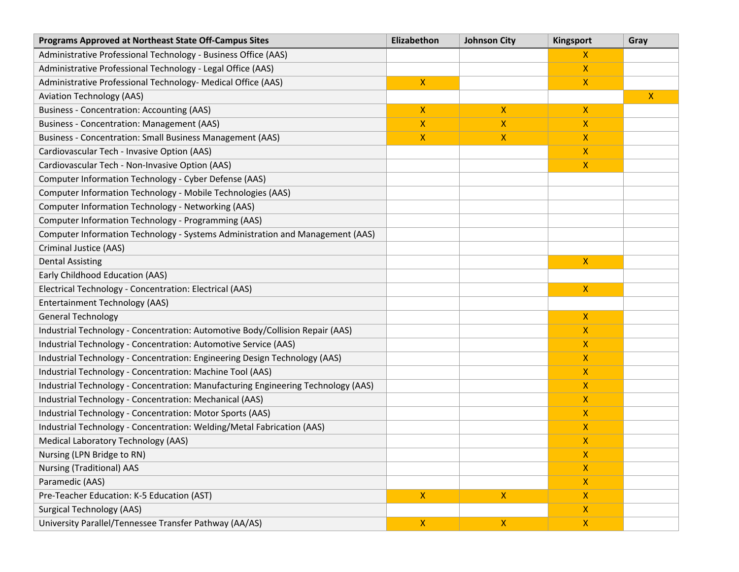| <b>Programs Approved at Northeast State Off-Campus Sites</b>                      | Elizabethon  | <b>Johnson City</b> | Kingsport      | Gray         |
|-----------------------------------------------------------------------------------|--------------|---------------------|----------------|--------------|
| Administrative Professional Technology - Business Office (AAS)                    |              |                     | X              |              |
| Administrative Professional Technology - Legal Office (AAS)                       |              |                     | X              |              |
| Administrative Professional Technology- Medical Office (AAS)                      | $\mathsf{X}$ |                     | X              |              |
| <b>Aviation Technology (AAS)</b>                                                  |              |                     |                | $\mathsf{X}$ |
| <b>Business - Concentration: Accounting (AAS)</b>                                 | $\mathsf{X}$ | $\mathsf{X}$        | X.             |              |
| Business - Concentration: Management (AAS)                                        | $\mathsf{X}$ | $\boldsymbol{X}$    | X.             |              |
| Business - Concentration: Small Business Management (AAS)                         | $\mathsf{X}$ | X                   | X.             |              |
| Cardiovascular Tech - Invasive Option (AAS)                                       |              |                     | x              |              |
| Cardiovascular Tech - Non-Invasive Option (AAS)                                   |              |                     | X.             |              |
| Computer Information Technology - Cyber Defense (AAS)                             |              |                     |                |              |
| Computer Information Technology - Mobile Technologies (AAS)                       |              |                     |                |              |
| Computer Information Technology - Networking (AAS)                                |              |                     |                |              |
| Computer Information Technology - Programming (AAS)                               |              |                     |                |              |
| Computer Information Technology - Systems Administration and Management (AAS)     |              |                     |                |              |
| Criminal Justice (AAS)                                                            |              |                     |                |              |
| <b>Dental Assisting</b>                                                           |              |                     | X.             |              |
| Early Childhood Education (AAS)                                                   |              |                     |                |              |
| Electrical Technology - Concentration: Electrical (AAS)                           |              |                     | X.             |              |
| <b>Entertainment Technology (AAS)</b>                                             |              |                     |                |              |
| <b>General Technology</b>                                                         |              |                     | $\mathsf{X}$   |              |
| Industrial Technology - Concentration: Automotive Body/Collision Repair (AAS)     |              |                     | x              |              |
| Industrial Technology - Concentration: Automotive Service (AAS)                   |              |                     | X.             |              |
| Industrial Technology - Concentration: Engineering Design Technology (AAS)        |              |                     | X              |              |
| Industrial Technology - Concentration: Machine Tool (AAS)                         |              |                     | X              |              |
| Industrial Technology - Concentration: Manufacturing Engineering Technology (AAS) |              |                     | X              |              |
| Industrial Technology - Concentration: Mechanical (AAS)                           |              |                     | X              |              |
| Industrial Technology - Concentration: Motor Sports (AAS)                         |              |                     | X              |              |
| Industrial Technology - Concentration: Welding/Metal Fabrication (AAS)            |              |                     | X              |              |
| Medical Laboratory Technology (AAS)                                               |              |                     | X              |              |
| Nursing (LPN Bridge to RN)                                                        |              |                     | X,             |              |
| <b>Nursing (Traditional) AAS</b>                                                  |              |                     | $\mathsf{X}$   |              |
| Paramedic (AAS)                                                                   |              |                     | X.             |              |
| Pre-Teacher Education: K-5 Education (AST)                                        | $\mathsf{X}$ | $\mathsf{X}$        | $\mathsf{X}^-$ |              |
| <b>Surgical Technology (AAS)</b>                                                  |              |                     | $\mathsf{X}^-$ |              |
| University Parallel/Tennessee Transfer Pathway (AA/AS)                            | $\mathsf{X}$ | $\pmb{\mathsf{X}}$  | $\mathsf{X}^-$ |              |